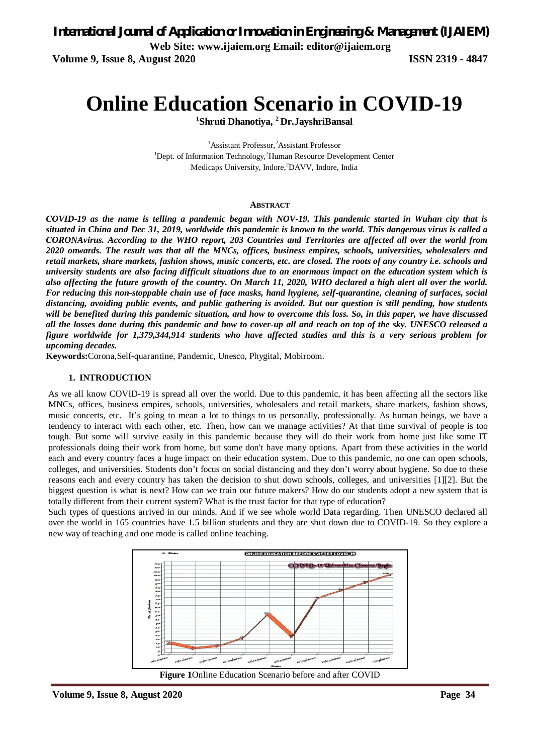*International Journal of Application or Innovation in Engineering & Management (IJAIEM)*

**Web Site: www.ijaiem.org Email: editor@ijaiem.org**

**Volume 9, Issue 8, August 2020 ISSN 2319 - 4847**

# **Online Education Scenario in COVID-19**

**1 Shruti Dhanotiya, <sup>2</sup>Dr.JayshriBansal**

<sup>1</sup>Assistant Professor,<sup>2</sup>Assistant Professor  $1$ Dept. of Information Technology,  $2$ Human Resource Development Center Medicaps University, Indore,<sup>2</sup>DAVV, Indore, India

#### **ABSTRACT**

*COVID-19 as the name is telling a pandemic began with NOV-19. This pandemic started in Wuhan city that is situated in China and Dec 31, 2019, worldwide this pandemic is known to the world. This dangerous virus is called a CORONAvirus. According to the WHO report, 203 Countries and Territories are affected all over the world from 2020 onwards. The result was that all the MNCs, offices, business empires, schools, universities, wholesalers and retail markets, share markets, fashion shows, music concerts, etc. are closed. The roots of any country i.e. schools and university students are also facing difficult situations due to an enormous impact on the education system which is also affecting the future growth of the country. On March 11, 2020, WHO declared a high alert all over the world. For reducing this non-stoppable chain use of face masks, hand hygiene, self-quarantine, cleaning of surfaces, social distancing, avoiding public events, and public gathering is avoided. But our question is still pending, how students will be benefited during this pandemic situation, and how to overcome this loss. So, in this paper, we have discussed all the losses done during this pandemic and how to cover-up all and reach on top of the sky. UNESCO released a figure worldwide for 1,379,344,914 students who have affected studies and this is a very serious problem for upcoming decades.*

**Keywords:**Corona,Self-quarantine, Pandemic, Unesco, Phygital, Mobiroom.

#### **1. INTRODUCTION**

As we all know COVID-19 is spread all over the world. Due to this pandemic, it has been affecting all the sectors like MNCs, offices, business empires, schools, universities, wholesalers and retail markets, share markets, fashion shows, music concerts, etc. It's going to mean a lot to things to us personally, professionally. As human beings, we have a tendency to interact with each other, etc. Then, how can we manage activities? At that time survival of people is too tough. But some will survive easily in this pandemic because they will do their work from home just like some IT professionals doing their work from home, but some don't have many options. Apart from these activities in the world each and every country faces a huge impact on their education system. Due to this pandemic, no one can open schools, colleges, and universities. Students don't focus on social distancing and they don't worry about hygiene. So due to these reasons each and every country has taken the decision to shut down schools, colleges, and universities [1][2]. But the biggest question is what is next? How can we train our future makers? How do our students adopt a new system that is totally different from their current system? What is the trust factor for that type of education?

Such types of questions arrived in our minds. And if we see whole world Data regarding. Then UNESCO declared all over the world in 165 countries have 1.5 billion students and they are shut down due to COVID-19. So they explore a new way of teaching and one mode is called online teaching.

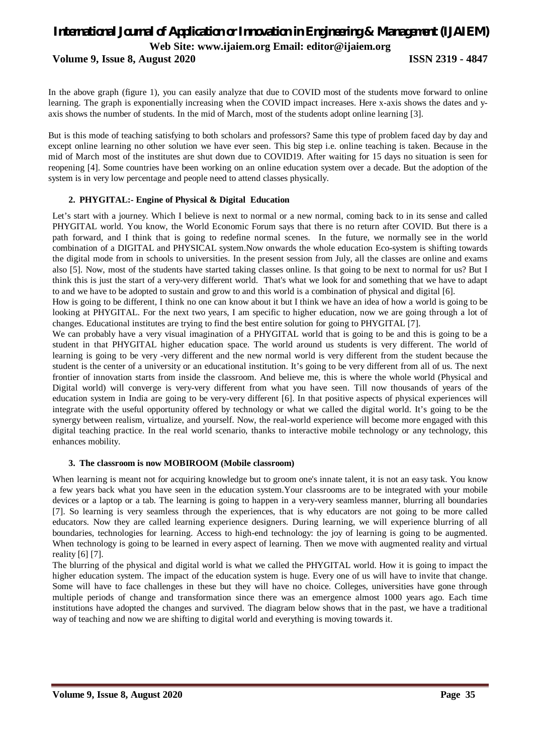## *International Journal of Application or Innovation in Engineering & Management (IJAIEM)* **Web Site: www.ijaiem.org Email: editor@ijaiem.org**

**Volume 9, Issue 8, August 2020 ISSN 2319 - 4847**

In the above graph (figure 1), you can easily analyze that due to COVID most of the students move forward to online learning. The graph is exponentially increasing when the COVID impact increases. Here x-axis shows the dates and yaxis shows the number of students. In the mid of March, most of the students adopt online learning [3].

But is this mode of teaching satisfying to both scholars and professors? Same this type of problem faced day by day and except online learning no other solution we have ever seen. This big step i.e. online teaching is taken. Because in the mid of March most of the institutes are shut down due to COVID19. After waiting for 15 days no situation is seen for reopening [4]. Some countries have been working on an online education system over a decade. But the adoption of the system is in very low percentage and people need to attend classes physically.

#### **2. PHYGITAL:- Engine of Physical & Digital Education**

Let's start with a journey. Which I believe is next to normal or a new normal, coming back to in its sense and called PHYGITAL world. You know, the World Economic Forum says that there is no return after COVID. But there is a path forward, and I think that is going to redefine normal scenes. In the future, we normally see in the world combination of a DIGITAL and PHYSICAL system.Now onwards the whole education Eco-system is shifting towards the digital mode from in schools to universities. In the present session from July, all the classes are online and exams also [5]. Now, most of the students have started taking classes online. Is that going to be next to normal for us? But I think this is just the start of a very-very different world. That's what we look for and something that we have to adapt to and we have to be adopted to sustain and grow to and this world is a combination of physical and digital [6].

How is going to be different, I think no one can know about it but I think we have an idea of how a world is going to be looking at PHYGITAL. For the next two years, I am specific to higher education, now we are going through a lot of changes. Educational institutes are trying to find the best entire solution for going to PHYGITAL [7].

We can probably have a very visual imagination of a PHYGITAL world that is going to be and this is going to be a student in that PHYGITAL higher education space. The world around us students is very different. The world of learning is going to be very -very different and the new normal world is very different from the student because the student is the center of a university or an educational institution. It's going to be very different from all of us. The next frontier of innovation starts from inside the classroom. And believe me, this is where the whole world (Physical and Digital world) will converge is very-very different from what you have seen. Till now thousands of years of the education system in India are going to be very-very different [6]. In that positive aspects of physical experiences will integrate with the useful opportunity offered by technology or what we called the digital world. It's going to be the synergy between realism, virtualize, and yourself. Now, the real-world experience will become more engaged with this digital teaching practice. In the real world scenario, thanks to interactive mobile technology or any technology, this enhances mobility.

#### **3. The classroom is now MOBIROOM (Mobile classroom)**

When learning is meant not for acquiring knowledge but to groom one's innate talent, it is not an easy task. You know a few years back what you have seen in the education system.Your classrooms are to be integrated with your mobile devices or a laptop or a tab. The learning is going to happen in a very-very seamless manner, blurring all boundaries [7]. So learning is very seamless through the experiences, that is why educators are not going to be more called educators. Now they are called learning experience designers. During learning, we will experience blurring of all boundaries, technologies for learning. Access to high-end technology: the joy of learning is going to be augmented. When technology is going to be learned in every aspect of learning. Then we move with augmented reality and virtual reality [6] [7].

The blurring of the physical and digital world is what we called the PHYGITAL world. How it is going to impact the higher education system. The impact of the education system is huge. Every one of us will have to invite that change. Some will have to face challenges in these but they will have no choice. Colleges, universities have gone through multiple periods of change and transformation since there was an emergence almost 1000 years ago. Each time institutions have adopted the changes and survived. The diagram below shows that in the past, we have a traditional way of teaching and now we are shifting to digital world and everything is moving towards it.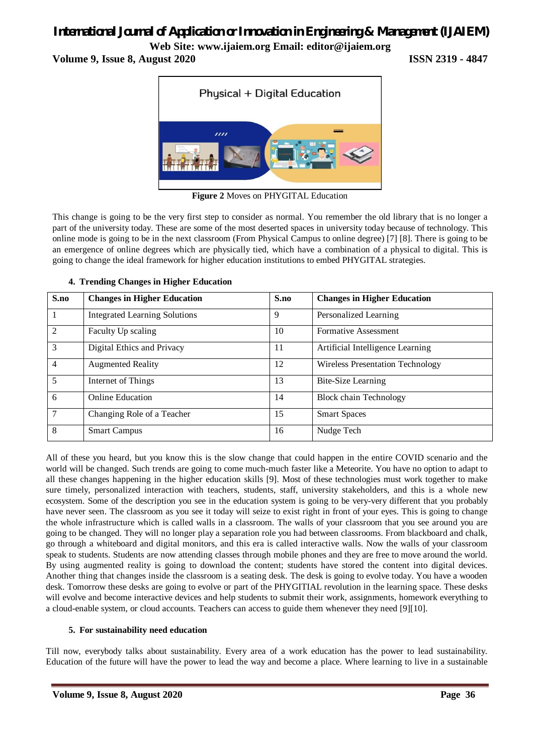# *International Journal of Application or Innovation in Engineering & Management (IJAIEM)*

**Web Site: www.ijaiem.org Email: editor@ijaiem.org**

**Volume 9, Issue 8, August 2020 ISSN 2319 - 4847**



**Figure 2** Moves on PHYGITAL Education

This change is going to be the very first step to consider as normal. You remember the old library that is no longer a part of the university today. These are some of the most deserted spaces in university today because of technology. This online mode is going to be in the next classroom (From Physical Campus to online degree) [7] [8]. There is going to be an emergence of online degrees which are physically tied, which have a combination of a physical to digital. This is going to change the ideal framework for higher education institutions to embed PHYGITAL strategies.

#### **4. Trending Changes in Higher Education**

| S.no           | <b>Changes in Higher Education</b>   | S.no | <b>Changes in Higher Education</b>      |
|----------------|--------------------------------------|------|-----------------------------------------|
|                | <b>Integrated Learning Solutions</b> | 9    | Personalized Learning                   |
| $\overline{2}$ | Faculty Up scaling                   | 10   | Formative Assessment                    |
| 3              | Digital Ethics and Privacy           | 11   | Artificial Intelligence Learning        |
| $\overline{4}$ | <b>Augmented Reality</b>             | 12   | <b>Wireless Presentation Technology</b> |
| 5              | Internet of Things                   | 13   | <b>Bite-Size Learning</b>               |
| 6              | <b>Online Education</b>              | 14   | <b>Block chain Technology</b>           |
| 7              | Changing Role of a Teacher           | 15   | <b>Smart Spaces</b>                     |
| 8              | <b>Smart Campus</b>                  | 16   | Nudge Tech                              |

All of these you heard, but you know this is the slow change that could happen in the entire COVID scenario and the world will be changed. Such trends are going to come much-much faster like a Meteorite. You have no option to adapt to all these changes happening in the higher education skills [9]. Most of these technologies must work together to make sure timely, personalized interaction with teachers, students, staff, university stakeholders, and this is a whole new ecosystem. Some of the description you see in the education system is going to be very-very different that you probably have never seen. The classroom as you see it today will seize to exist right in front of your eyes. This is going to change the whole infrastructure which is called walls in a classroom. The walls of your classroom that you see around you are going to be changed. They will no longer play a separation role you had between classrooms. From blackboard and chalk, go through a whiteboard and digital monitors, and this era is called interactive walls. Now the walls of your classroom speak to students. Students are now attending classes through mobile phones and they are free to move around the world. By using augmented reality is going to download the content; students have stored the content into digital devices. Another thing that changes inside the classroom is a seating desk. The desk is going to evolve today. You have a wooden desk. Tomorrow these desks are going to evolve or part of the PHYGITIAL revolution in the learning space. These desks will evolve and become interactive devices and help students to submit their work, assignments, homework everything to a cloud-enable system, or cloud accounts. Teachers can access to guide them whenever they need [9][10].

#### **5. For sustainability need education**

Till now, everybody talks about sustainability. Every area of a work education has the power to lead sustainability. Education of the future will have the power to lead the way and become a place. Where learning to live in a sustainable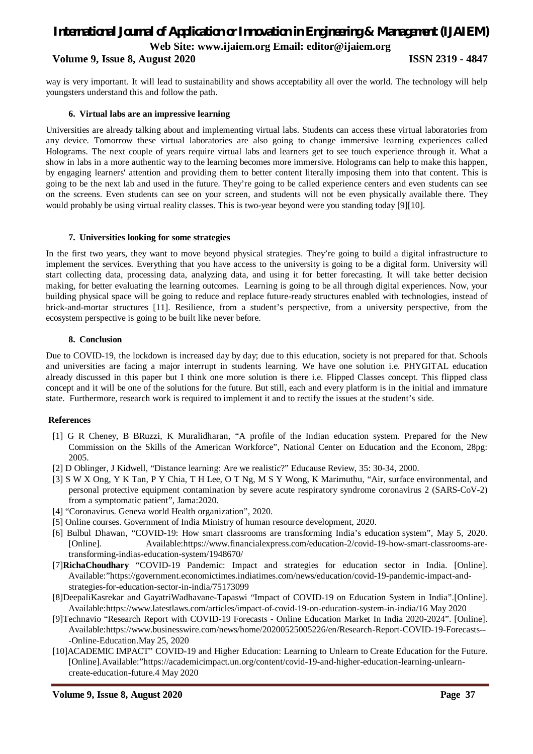# *International Journal of Application or Innovation in Engineering & Management (IJAIEM)* **Web Site: www.ijaiem.org Email: editor@ijaiem.org**

#### **Volume 9, Issue 8, August 2020 ISSN 2319 - 4847**

way is very important. It will lead to sustainability and shows acceptability all over the world. The technology will help youngsters understand this and follow the path.

#### **6. Virtual labs are an impressive learning**

Universities are already talking about and implementing virtual labs. Students can access these virtual laboratories from any device. Tomorrow these virtual laboratories are also going to change immersive learning experiences called Holograms. The next couple of years require virtual labs and learners get to see touch experience through it. What a show in labs in a more authentic way to the learning becomes more immersive. Holograms can help to make this happen, by engaging learners' attention and providing them to better content literally imposing them into that content. This is going to be the next lab and used in the future. They're going to be called experience centers and even students can see on the screens. Even students can see on your screen, and students will not be even physically available there. They would probably be using virtual reality classes. This is two-year beyond were you standing today [9][10].

#### **7. Universities looking for some strategies**

In the first two years, they want to move beyond physical strategies. They're going to build a digital infrastructure to implement the services. Everything that you have access to the university is going to be a digital form. University will start collecting data, processing data, analyzing data, and using it for better forecasting. It will take better decision making, for better evaluating the learning outcomes. Learning is going to be all through digital experiences. Now, your building physical space will be going to reduce and replace future-ready structures enabled with technologies, instead of brick-and-mortar structures [11]. Resilience, from a student's perspective, from a university perspective, from the ecosystem perspective is going to be built like never before.

#### **8. Conclusion**

Due to COVID-19, the lockdown is increased day by day; due to this education, society is not prepared for that. Schools and universities are facing a major interrupt in students learning. We have one solution i.e. PHYGITAL education already discussed in this paper but I think one more solution is there i.e. Flipped Classes concept. This flipped class concept and it will be one of the solutions for the future. But still, each and every platform is in the initial and immature state. Furthermore, research work is required to implement it and to rectify the issues at the student's side.

#### **References**

- [1] G R Cheney, B BRuzzi, K Muralidharan, "A profile of the Indian education system. Prepared for the New Commission on the Skills of the American Workforce", National Center on Education and the Econom, 28pg: 2005.
- [2] D Oblinger, J Kidwell, "Distance learning: Are we realistic?" Educause Review, 35: 30-34, 2000.
- [3] S W X Ong, Y K Tan, P Y Chia, T H Lee, O T Ng, M S Y Wong, K Marimuthu, "Air, surface environmental, and personal protective equipment contamination by severe acute respiratory syndrome coronavirus 2 (SARS-CoV-2) from a symptomatic patient", Jama:2020.
- [4] "Coronavirus. Geneva world Health organization", 2020.
- [5] Online courses. Government of India Ministry of human resource development, 2020.
- [6] Bulbul Dhawan, "COVID-19: How smart classrooms are transforming India's education system", May 5, 2020. [Online]. Available:https://www.financialexpress.com/education-2/covid-19-how-smart-classrooms-aretransforming-indias-education-system/1948670/
- [7]**RichaChoudhary** "COVID-19 Pandemic: Impact and strategies for education sector in India. [Online]. Available:"https://government.economictimes.indiatimes.com/news/education/covid-19-pandemic-impact-andstrategies-for-education-sector-in-india/75173099
- [8]DeepaliKasrekar and GayatriWadhavane-Tapaswi "Impact of COVID-19 on Education System in India".[Online]. Available:https://www.latestlaws.com/articles/impact-of-covid-19-on-education-system-in-india/16 May 2020
- [9]Technavio "Research Report with COVID-19 Forecasts Online Education Market In India 2020-2024". [Online]. Available:https://www.businesswire.com/news/home/20200525005226/en/Research-Report-COVID-19-Forecasts-- -Online-Education.May 25, 2020
- [10]ACADEMIC IMPACT" COVID-19 and Higher Education: Learning to Unlearn to Create Education for the Future. [Online].Available:"https://academicimpact.un.org/content/covid-19-and-higher-education-learning-unlearncreate-education-future.4 May 2020